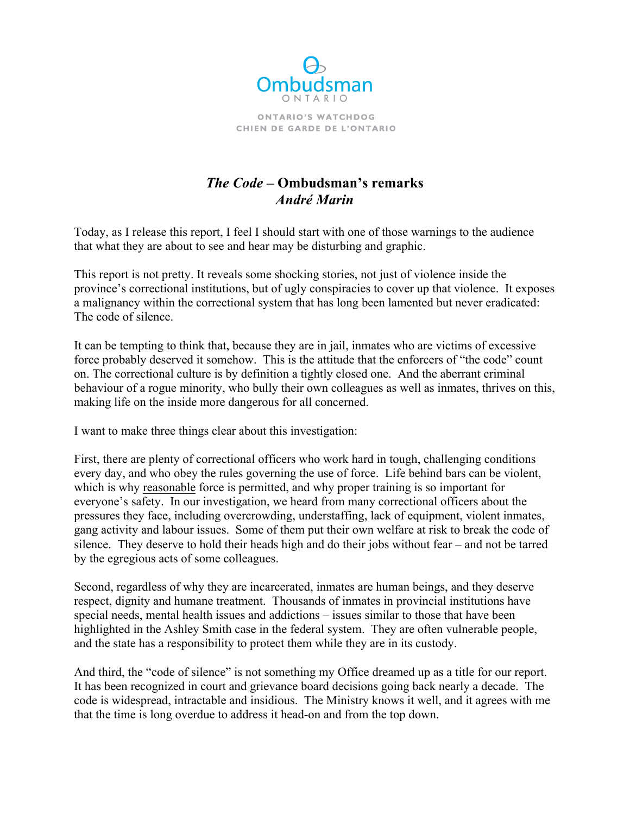

**ONTARIO'S WATCHDOG** CHIEN DE GARDE DE L'ONTARIO

## *The Code* **– Ombudsman's remarks** *André Marin*

Today, as I release this report, I feel I should start with one of those warnings to the audience that what they are about to see and hear may be disturbing and graphic.

 province's correctional institutions, but of ugly conspiracies to cover up that violence. It exposes This report is not pretty. It reveals some shocking stories, not just of violence inside the a malignancy within the correctional system that has long been lamented but never eradicated: The code of silence.

 force probably deserved it somehow. This is the attitude that the enforcers of "the code" count on. The correctional culture is by definition a tightly closed one. And the aberrant criminal behaviour of a rogue minority, who bully their own colleagues as well as inmates, thrives on this, It can be tempting to think that, because they are in jail, inmates who are victims of excessive making life on the inside more dangerous for all concerned.

I want to make three things clear about this investigation:

which is why reasonable force is permitted, and why proper training is so important for everyone's safety. In our investigation, we heard from many correctional officers about the First, there are plenty of correctional officers who work hard in tough, challenging conditions every day, and who obey the rules governing the use of force. Life behind bars can be violent, pressures they face, including overcrowding, understaffing, lack of equipment, violent inmates, gang activity and labour issues. Some of them put their own welfare at risk to break the code of silence. They deserve to hold their heads high and do their jobs without fear – and not be tarred by the egregious acts of some colleagues.

 Second, regardless of why they are incarcerated, inmates are human beings, and they deserve respect, dignity and humane treatment. Thousands of inmates in provincial institutions have special needs, mental health issues and addictions – issues similar to those that have been highlighted in the Ashley Smith case in the federal system. They are often vulnerable people, and the state has a responsibility to protect them while they are in its custody.

 that the time is long overdue to address it head-on and from the top down. And third, the "code of silence" is not something my Office dreamed up as a title for our report. It has been recognized in court and grievance board decisions going back nearly a decade. The code is widespread, intractable and insidious. The Ministry knows it well, and it agrees with me